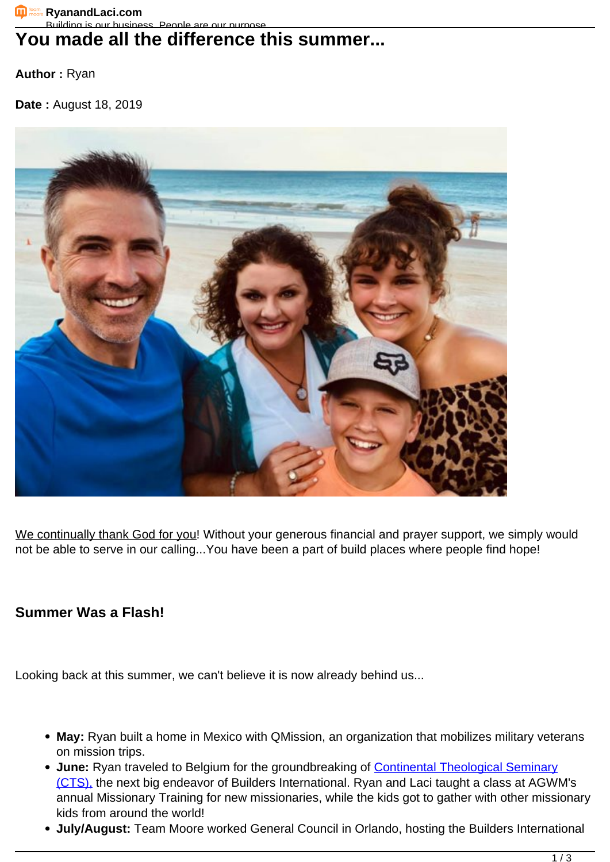## You made all the difference this summer...

**Author :** Ryan

**Date :** August 18, 2019



We continually thank God for you! Without your generous financial and prayer support, we simply would not be able to serve in our calling...You have been a part of build places where people find hope!

## **Summer Was a Flash!**

Looking back at this summer, we can't believe it is now already behind us...

- **May:** Ryan built a home in Mexico with QMission, an organization that mobilizes military veterans on mission trips.
- June: Ryan traveled to Belgium for the groundbreaking of **Continental Theological Seminary** [\(CTS\),](https://projects.buildersintl.org/project/142) the next big endeavor of Builders International. Ryan and Laci taught a class at AGWM's annual Missionary Training for new missionaries, while the kids got to gather with other missionary kids from around the world!
- **July/August:** Team Moore worked General Council in Orlando, hosting the Builders International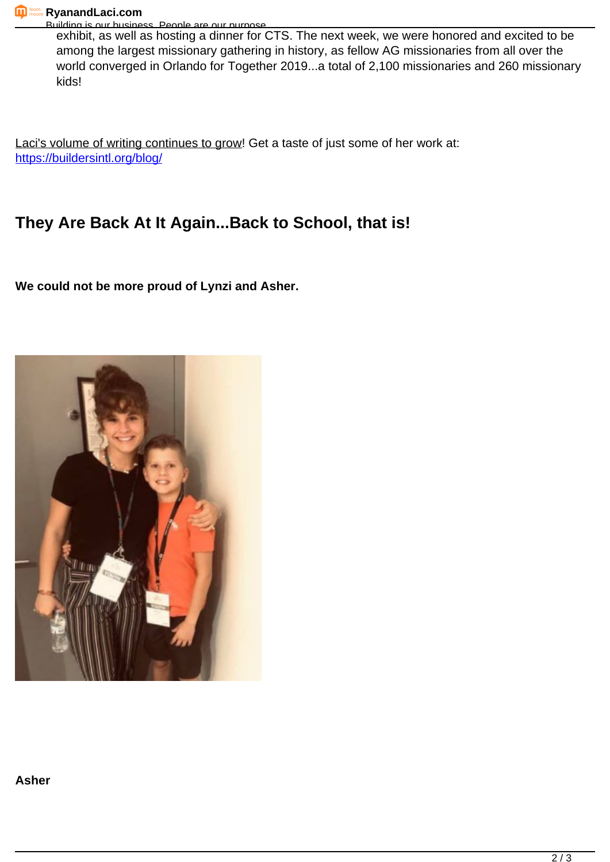Building is our business. People are our purpose. exhibit, as well as hosting a dinner for CTS. The next week, we were honored and excited to be among the largest missionary gathering in history, as fellow AG missionaries from all over the world converged in Orlando for Together 2019...a total of 2,100 missionaries and 260 missionary kids!

Laci's volume of writing continues to grow! Get a taste of just some of her work at: <https://buildersintl.org/blog/>

## **They Are Back At It Again...Back to School, that is!**

**We could not be more proud of Lynzi and Asher.**